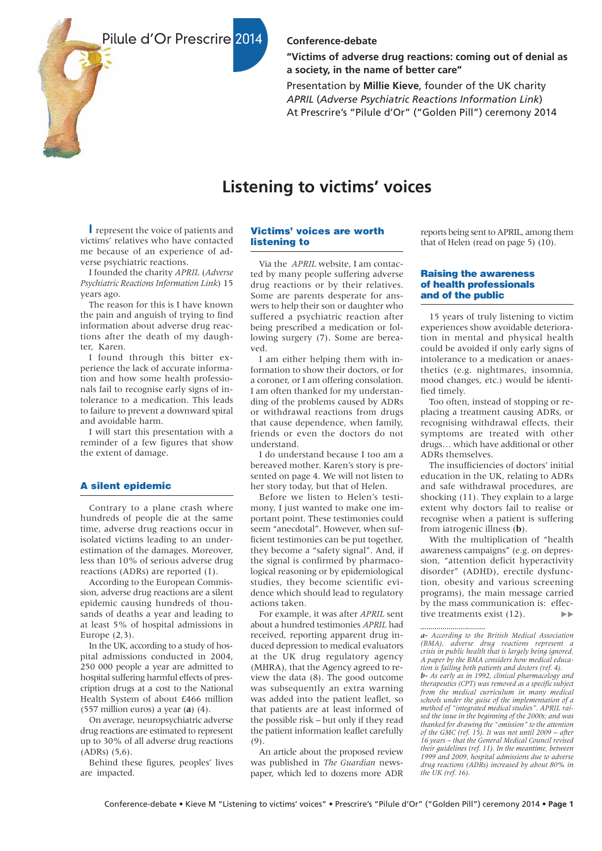Pilule d'Or Prescrire 2014



# **Conference-debate**

**"Victims of adverse drug reactions: coming out of denial as a society, in the name of better care"**

Presentation by **Millie Kieve**, founder of the UK charity *APRIL* (*Adverse Psychiatric Reactions Information Link*) At Prescrire's "Pilule d'Or" ("Golden Pill") ceremony 2014

# **Listening to victims' voices**

represent the voice of patients and **I** victims' relatives who have contacted me because of an experience of adverse psychiatric reactions.

I founded the charity *APRIL* (*Adverse Psychiatric Reactions Information Link*) 15 years ago.

The reason for this is I have known the pain and anguish of trying to find information about adverse drug reactions after the death of my daughter, Karen.

I found through this bitter experience the lack of accurate information and how some health professionals fail to recognise early signs of intolerance to a medication. This leads to failure to prevent a downward spiral and avoidable harm.

I will start this presentation with a reminder of a few figures that show the extent of damage.

## A silent epidemic

Contrary to a plane crash where hundreds of people die at the same time, adverse drug reactions occur in isolated victims leading to an underestimation of the damages. Moreover, less than 10% of serious adverse drug reactions (ADRs) are reported (1).

According to the European Commission, adverse drug reactions are a silent epidemic causing hundreds of thousands of deaths a year and leading to at least 5% of hospital admissions in Europe (2,3).

In the UK, according to a study of hospital admissions conducted in 2004, 250 000 people a year are admitted to hospital suffering harmful effects of prescription drugs at a cost to the National Health System of about £466 million (557 million euros) a year (**a**) (4).

On average, neuropsychiatric adverse drug reactions are estimated to represent up to 30% of all adverse drug reactions (ADRs) (5,6).

Behind these figures, peoples' lives are impacted.

# Victims' voices are worth listening to

Via the *APRIL* website, I am contacted by many people suffering adverse drug reactions or by their relatives. Some are parents desperate for answers to help their son or daughter who suffered a psychiatric reaction after being prescribed a medication or following surgery (7). Some are bereaved.

I am either helping them with information to show their doctors, or for a coroner, or I am offering consolation. I am often thanked for my understanding of the problems caused by ADRs or withdrawal reactions from drugs that cause dependence, when family, friends or even the doctors do not understand.

I do understand because I too am a bereaved mother. Karen's story is presented on page 4. We will not listen to her story today, but that of Helen.

Before we listen to Helen's testimony, I just wanted to make one important point. These testimonies could seem "anecdotal". However, when sufficient testimonies can be put together, they become a "safety signal". And, if the signal is confirmed by pharmacological reasoning or by epidemiological studies, they become scientific evidence which should lead to regulatory actions taken.

For example, it was after *APRIL* sent about a hundred testimonies *APRIL* had received, reporting apparent drug induced depression to medical evaluators at the UK drug regulatory agency (MHRA), that the Agency agreed to review the data (8). The good outcome was subsequently an extra warning was added into the patient leaflet, so that patients are at least informed of the possible risk – but only if they read the patient information leaflet carefully (9).

An article about the proposed review was published in *The Guardian* newspaper, which led to dozens more ADR

reports being sent to APRIL, among them that of Helen (read on page 5) (10).

## Raising the awareness of health professionals and of the public

15 years of truly listening to victim experiences show avoidable deterioration in mental and physical health could be avoided if only early signs of intolerance to a medication or anaesthetics (e.g. nightmares, insomnia, mood changes, etc.) would be identified timely.

Too often, instead of stopping or replacing a treatment causing ADRs, or recognising withdrawal effects, their symptoms are treated with other drugs… which have additional or other ADRs themselves.

The insufficiencies of doctors' initial education in the UK, relating to ADRs and safe withdrawal procedures, are shocking (11). They explain to a large extent why doctors fail to realise or recognise when a patient is suffering from iatrogenic illness (**b**).

With the multiplication of "health awareness campaigns" (e.g. on depression, "attention deficit hyperactivity disorder" (ADHD), erectile dysfunction, obesity and various screening programs), the main message carried by the mass communication is: effective treatments exist (12).  $\blacktriangleright$ 

*b- As early as in 1992, clinical pharmacology and therapeutics (CPT) was removed as a specific subject from the medical curriculum in many medical schools under the guise of the implementation of a method of "integrated medical studies". APRIL raised the issue in the beginning of the 2000s; and was thanked for drawing the "omission" to the attention of the GMC (ref. 15). It was not until 2009 – after 16 years – that the General Medical Council revised their guidelines (ref. 11). In the meantime, between 1999 and 2009, hospital admissions due to adverse drug reactions (ADRs) increased by about 80% in the UK (ref. 16).*

*a- According to the British Medical Association (BMA), adverse drug reactions represent a crisis in public health that is largely being ignored. A paper by the BMA considers how medical education is failing both patients and doctors (ref. 4).*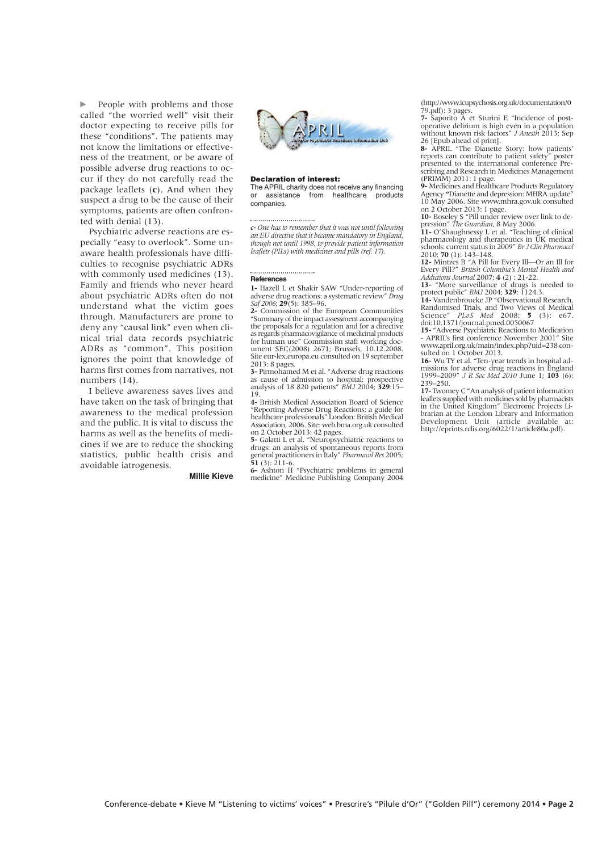$\blacktriangleright$ People with problems and those called "the worried well" visit their doctor expecting to receive pills for these "conditions". The patients may not know the limitations or effectiveness of the treatment, or be aware of possible adverse drug reactions to occur if they do not carefully read the package leaflets (**c**). And when they suspect a drug to be the cause of their symptoms, patients are often confronted with denial (13).

Psychiatric adverse reactions are especially "easy to overlook". Some unaware health professionals have difficulties to recognise psychiatric ADRs with commonly used medicines (13). Family and friends who never heard about psychiatric ADRs often do not understand what the victim goes through. Manufacturers are prone to deny any "causal link" even when clinical trial data records psychiatric ADRs as "common". This position ignores the point that knowledge of harms first comes from narratives, not numbers (14).

I believe awareness saves lives and have taken on the task of bringing that awareness to the medical profession and the public. It is vital to discuss the harms as well as the benefits of medicines if we are to reduce the shocking statistics, public health crisis and avoidable iatrogenesis.

**Millie Kieve**



#### Declaration of interest:

The APRIL charity does not receive any financing<br>or assistance from healthcare products or assistance from healthcare companies.

*c- One has to remember that it was not until following an EU directive that it became mandatory in England, though not until 1998, to provide patient information leaflets (PILs) with medicines and pills (ref. 17).*

#### **References**

**1-** Hazell L et Shakir SAW "Under-reporting of adverse drug reactions: a systematic review" *Drug Saf 2006*; **29**(5): 385–96.

**2-** Commission of the European Communities "Summary of the impact assessment accompanying the proposals for a regulation and for a directive as regards pharmacovigilance of medicinal products for human use" Commission staff working doc-ument SEC(2008) 2671; Brussels, 10.12.2008. Site eur-lex.europa.eu consulted on 19 september

2013: 8 pages. **3-** Pirmohamed M et al. "Adverse drug reactions as cause of admission to hospital: prospective analysis of 18 820 patients" *BMJ* 2004; **329**:15– 19.

**4-** British Medical Association Board of Science "Reporting Adverse Drug Reactions: a guide for healthcare professionals" London: British Medical Association, 2006. Site: web.bma.org.uk consulted

on 2 October 2013: 42 pages. **5-** Galatti L et al. "Neuropsychiatric reactions to drugs: an analysis of spontaneous reports from general practitioners in Italy" *Pharmacol Res* 2005; **51** (3): 211-6.

**6-** Ashton H "Psychiatric problems in general medicine" Medicine Publishing Company 2004 (http://www.icupsychosis.org.uk/documentation/0 79.pdf): 3 pages.

**7-** Saporito A et Sturini E "Incidence of postoperative delirium is high even in a population without known risk factors" *J Anesth* 2013; Sep 26 [Epub ahead of print].

**8-** APRIL "The Dianette Story: how patients' reports can contribute to patient safety" poster presented to the international conference Prescribing and Research in Medicines Management (PRIMM) 2011: 1 page.

**9-** Medicines and Healthcare Products Regulatory Agency **"**Dianette and depression: MHRA update" 10 May 2006. Site www.mhra.gov.uk consulted

on 2 October 2013: 1 page.<br> **10**- Boseley S "Pill under review over link to de-<br>
pression" The Guardian, 8 May 2006.<br> **11** - O'Shaughnessy L et al. "Teaching of clinical<br>
pharmacology and therapeutics in UK medical schools: current status in 2009" *Br J Clin Pharmacol* 2010; **70** (1): 143–148.

**12-** Mintzes B "A Pill for Every Ill—Or an Ill for Every Pill?" *British Columbia's Mental Health and Addictions Journal* 2007; **4** (2) : 21-22.

**13-** "More surveillance of drugs is needed to protect public" *BMJ* 2004; **329**: 1124.3.

**14-** Vandenbroucke JP "Observational Research, Randomised Trials, and Two Views of Medical Science" *PLoS Med* 2008; **5** (3): e67. Science" *PLoS Med* 2008; **5**<br>doi:10.1371/journal.pmed.0050067

**15-** "Adverse Psychiatric Reactions to Medication - APRIL's first conference November 2001" Site www.april.org.uk/main/index.php?uid=238 consulted on 1 October 2013.

**16-** Wu TY et al. "Ten-year trends in hospital admissions for adverse drug reactions in England 1999–2009" *J R Soc Med 2010* June 1; **103** (6): 239–250.

**17-** Twomey C "An analysis of patient information leaflets supplied with medicines sold by pharmacists in the United Kingdom" Electronic Projects Librarian at the London Library and Information Development Unit (article available at: http://eprints.rclis.org/6022/1/article80a.pdf).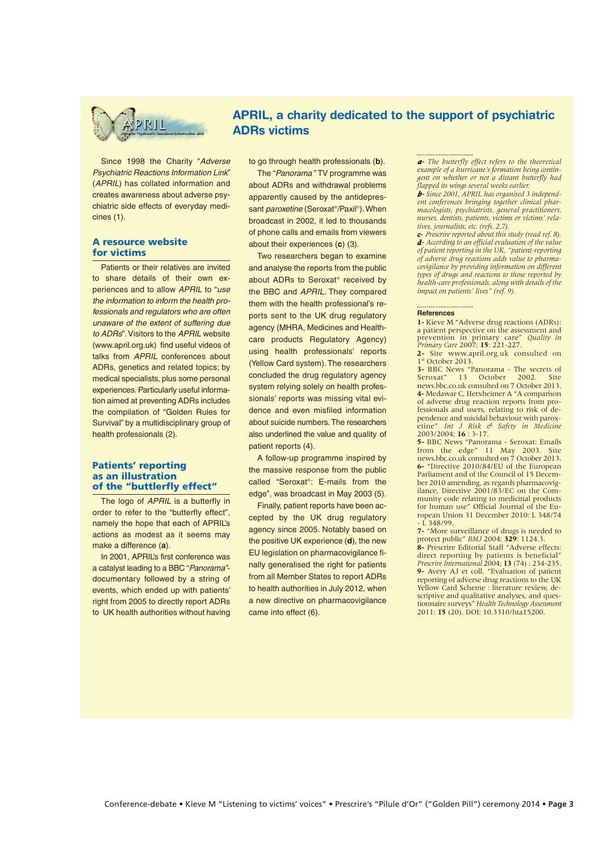

# APRIL, a charity dedicated to the support of psychiatric ADRs victims

Since 1998 the Charity "Adverse Psychiatric Reactions Information Link" (APRIL) has collated information and creates awareness about adverse psychiatric side effects of everyday medicines (1).

## A resource website for victims

Patients or their relatives are invited to share details of their own experiences and to allow APRIL to "use the information to inform the health professionals and regulators who are often unaware of the extent of suffering due to ADRs". Visitors to the APRIL website (www.april.org.uk) find useful videos of talks from APRIL conferences about ADRs, genetics and related topics; by medical specialists, plus some personal experiences. Particularly useful information aimed at preventing ADRs includes the compilation of "Golden Rules for Survival" by a multidisciplinary group of health professionals (2).

## Patients' reporting as an illustration of the "buttlerfly effect"

The logo of APRIL is a butterfly in order to refer to the "butterfly effect", namely the hope that each of APRIL's actions as modest as it seems may make a difference (**a**).

In 2001, APRIL's first conference was a catalyst leading to a BBC "Panorama" documentary followed by a string of events, which ended up with patients' right from 2005 to directly report ADRs to UK health authorities without having

to go through health professionals (**b**).

The "Panorama " TV programme was about ADRs and withdrawal problems apparently caused by the antidepressant *paroxetine* (Seroxat<sup>o</sup>/Paxil<sup>o</sup>). When broadcast in 2002, it led to thousands of phone calls and emails from viewers about their experiences (**c**) (3).

Two researchers began to examine and analyse the reports from the public about ADRs to Seroxat° received by the BBC and APRIL. They compared them with the health professional's reports sent to the UK drug regulatory agency (MHRA, Medicines and Healthcare products Regulatory Agency) using health professionals' reports (Yellow Card system). The researchers concluded the drug regulatory agency system relying solely on health professionals' reports was missing vital evidence and even misfiled information about suicide numbers. The researchers also underlined the value and quality of patient reports (4).

A follow-up programme inspired by the massive response from the public called "Seroxat°: E-mails from the edge", was broadcast in May 2003 (5).

Finally, patient reports have been accepted by the UK drug regulatory agency since 2005. Notably based on the positive UK experience (**d**), the new EU legislation on pharmacovigilance finally generalised the right for patients from all Member States to report ADRs to health authorities in July 2012, when a new directive on pharmacovigilance came into effect (6).

*a- The butterfly effect refers to the theoretical example of a hurricane's formation being contingent on whether or not a distant butterfly had flapped its wings several weeks earlier.*

*b- Since 2001, APRIL has organised 3 independent conferences bringing together clinical pharmacologists, psychiatrists, general practitioners, nurses, dentists, patients, victims or victims' relatives, journalists, etc. (refs. 2,7).*

*c- Prescrire reported about this study (read ref. 8). d- According to an official evaluation of the value of patient reporting in the UK, "patient-reporting of adverse drug reactions adds value to pharmacovigilance by providing information on different types of drugs and reactions to those reported by health-care professionals, along with details of the impact on patients' lives" (ref. 9).*

#### **References**

**1-** Kieve M "Adverse drug reactions (ADRs): a patient perspective on the assessment and prevention in primary care" *Quality in Primary Care* 2007; **15**: 221-227.

**2-** Site www.april.org.uk consulted on 1st October 2013.

**3-** BBC News "Panorama - The secrets of Seroxat" 13 October 2002. Site news.bbc.co.uk consulted on 7 October 2013. **4-** Medawar C, Herxheimer A "A comparison of adverse drug reaction reports from professionals and users, relating to risk of dependence and suicidal behaviour with paroxetine" *Int J Risk & Safety in Medicine* 2003/2004; **16** : 3-17.

**5-** BBC News "Panorama - Seroxat: Emails from the edge" 11 May 2003. Site news.bbc.co.uk consulted on 7 October 2013. **6-** "Directive 2010/84/EU of the European Parliament and of the Council of 15 December 2010 amending, as regards pharmacovigilance, Directive 2001/83/EC on the Community code relating to medicinal products for human use" Official Journal of the European Union 31 December 2010: L 348/74 - L 348/99. **7-** "More surveillance of drugs is needed to

protect public" *BMJ* 2004; **329**: 1124.3.

**8-** Prescrire Editorial Staff "Adverse effects: direct reporting by patients is beneficial"  *Prescrire International* 2004; **13** (74) : 234-235. **9-** Avery AJ et coll. "Evaluation of patient reporting of adverse drug reactions to the UK Yellow Card Scheme : literature review, descriptive and qualitative analyses, and questionnaire surveys" *Health Technology Assessment* 2011: **15** (20). DOI: 10.3310/hta15200.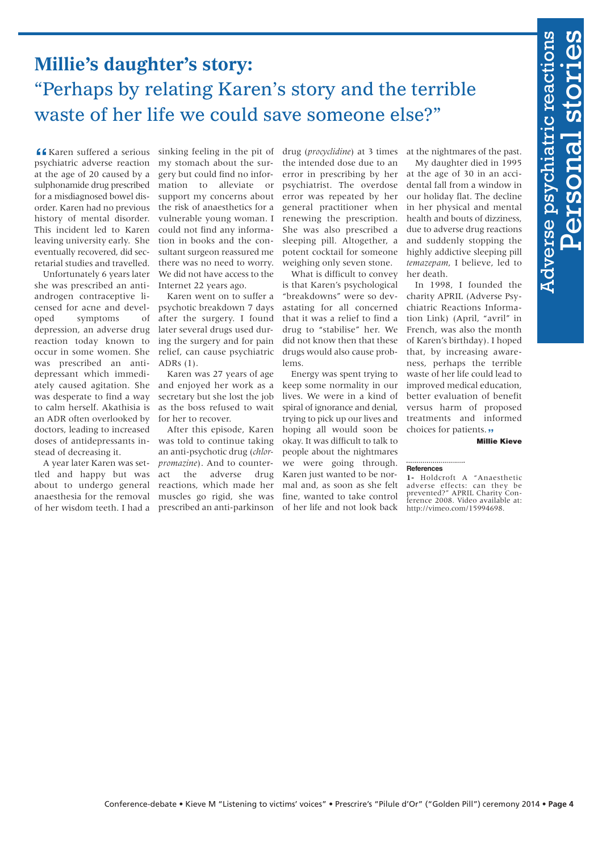# **Confere-debate • Conference-debate • Conference-debate • Prescription in the conference of the conference of the conference of the conference of the conference of the conference of the conference of the conference of the Millie's daughter's story:** "Perhaps by relating Karen's story and the terrible waste of her life we could save someone else?"

**f K** Karen suffered a serious sinking feeling in the pit of psychiatric adverse reaction my stomach about the surat the age of 20 caused by a sulphonamide drug prescribed for a misdiagnosed bowel disorder. Karen had no previous history of mental disorder. This incident led to Karen leaving university early. She eventually recovered, did secretarial studies and travelled.

Unfortunately 6 years later she was prescribed an antiandrogen contraceptive licensed for acne and developed symptoms of depression, an adverse drug reaction today known to occur in some women. She was prescribed an antidepressant which immediately caused agitation. She was desperate to find a way to calm herself. Akathisia is an ADR often overlooked by doctors, leading to increased doses of antidepressants instead of decreasing it.

A year later Karen was settled and happy but was about to undergo general anaesthesia for the removal of her wisdom teeth. I had a prescribed an anti-parkinson

gery but could find no information to alleviate or support my concerns about the risk of anaesthetics for a vulnerable young woman. I could not find any information in books and the consultant surgeon reassured me there was no need to worry. We did not have access to the Internet 22 years ago.

Karen went on to suffer a psychotic breakdown 7 days after the surgery. I found later several drugs used during the surgery and for pain relief, can cause psychiatric ADRs (1).

Karen was 27 years of age and enjoyed her work as a secretary but she lost the job as the boss refused to wait for her to recover.

After this episode, Karen was told to continue taking an anti-psychotic drug (*chlorpromazine*). And to counteract the adverse drug reactions, which made her muscles go rigid, she was

Karen suffered a serious sinking feeling in the pit of drug (*procyclidine*) at 3 times at the nightmares of the past. the intended dose due to an error in prescribing by her psychiatrist. The overdose error was repeated by her general practitioner when renewing the prescription. She was also prescribed a sleeping pill. Altogether, a potent cocktail for someone weighing only seven stone.

What is difficult to convey is that Karen's psychological "breakdowns" were so devastating for all concerned that it was a relief to find a drug to "stabilise" her. We did not know then that these drugs would also cause problems.

Energy was spent trying to keep some normality in our lives. We were in a kind of spiral of ignorance and denial, trying to pick up our lives and hoping all would soon be okay. It was difficult to talk to people about the nightmares we were going through. Karen just wanted to be normal and, as soon as she felt fine, wanted to take control of her life and not look back

My daughter died in 1995 at the age of 30 in an accidental fall from a window in our holiday flat. The decline in her physical and mental health and bouts of dizziness, due to adverse drug reactions and suddenly stopping the highly addictive sleeping pill *temazepam*, I believe, led to her death.

In 1998, I founded the charity APRIL (Adverse Psychiatric Reactions Information Link) (April, "avril" in French, was also the month of Karen's birthday). I hoped that, by increasing awareness, perhaps the terrible waste of her life could lead to improved medical education, better evaluation of benefit versus harm of proposed treatments and informed choices for patients. **"**

#### Millie Kieve

#### **References**

**1-** Holdcroft A "Anaesthetic adverse effects: can they be prevented?" APRIL Charity Con-ference 2008. Video available at: http://vimeo.com/15994698.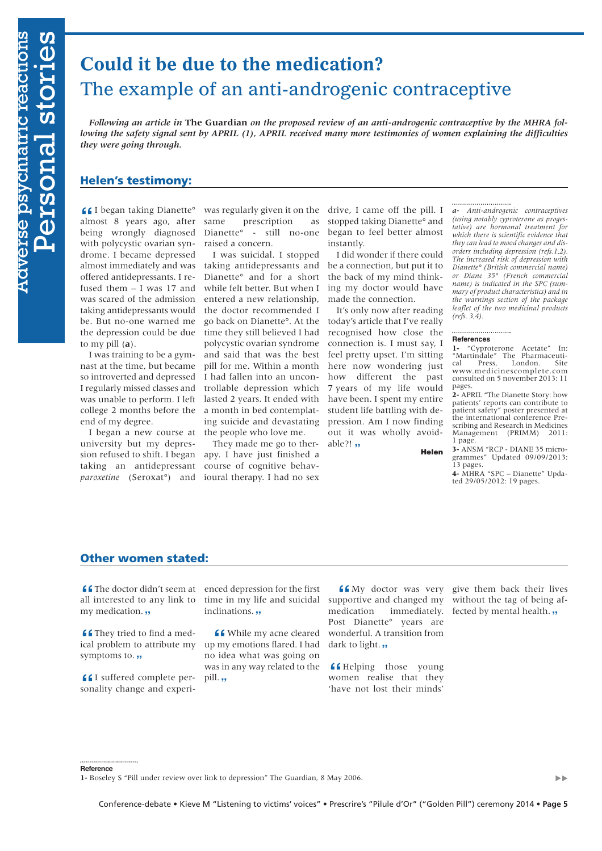# **Could it be due to the medication?** The example of an anti-androgenic contraceptive

*Following an article in* **The Guardian** *on the proposed review of an anti-androgenic contraceptive by the MHRA following the safety signal sent by APRIL (1), APRIL received many more testimonies of women explaining the difficulties they were going through.*

# Helen's testimony:

I began taking Dianette° almost 8 years ago, after being wrongly diagnosed with polycystic ovarian syndrome. I became depressed almost immediately and was offered antidepressants. I refused them – I was 17 and was scared of the admission taking antidepressants would be. But no-one warned me the depression could be due to my pill (**a**).

I was training to be a gymnast at the time, but became so introverted and depressed I regularly missed classes and was unable to perform. I left college 2 months before the end of my degree.

I began a new course at university but my depression refused to shift. I began taking an antidepressant *paroxetine* (Seroxat°) and

was regularly given it on the same prescription as Dianette° - still no-one raised a concern. **16 Example 1** began taking Dianette<sup>o</sup> was regularly given it on the drive, I came off the pill. I *a- Anti-androgenic contraceptives*<br>almost 8 years ago, after same prescription as stopped taking Dianette<sup>o</sup> and *(usin* 

> I was suicidal. I stopped taking antidepressants and Dianette° and for a short while felt better. But when I entered a new relationship, the doctor recommended I go back on Dianette°. At the time they still believed I had polycystic ovarian syndrome and said that was the best pill for me. Within a month I had fallen into an uncontrollable depression which lasted 2 years. It ended with a month in bed contemplating suicide and devastating the people who love me.

They made me go to therapy. I have just finished a course of cognitive behavioural therapy. I had no sex

drive, I came off the pill. I stopped taking Dianette° and began to feel better almost instantly.

I did wonder if there could be a connection, but put it to the back of my mind thinking my doctor would have made the connection.

It's only now after reading today's article that I've really recognised how close the connection is. I must say, I feel pretty upset. I'm sitting here now wondering just how different the past 7 years of my life would have been. I spent my entire student life battling with depression. Am I now finding out it was wholly avoid**able?!**,

Helen

*(using notably cyproterone as progestative) are hormonal treatment for which there is scientific evidence that they can lead to mood changes and disorders including depression (refs.1,2). The increased risk of depression with Dianette° (British commercial name) or Diane 35° (French commercial name) is indicated in the SPC (summary of product characteristics) and in the warnings section of the package leaflet of the two medicinal products (refs. 3,4).*

# **References**

**1-** "Cyproterone Acetate" In: "Martindale" The Pharmaceuti-cal Press, London. Site www.medicinescomplete.com consulted on 5 november 2013: 11 pages.

**2-** APRIL "The Dianette Story: how patients' reports can contribute to patient safety" poster presented at the international conference Prescribing and Research in Medicines Management (PRIMM) 2011: 1 page.

**3-** ANSM "RCP - DIANE 35 microgrammes" Updated 09/09/2013: 13 pages. **4-** MHRA "SPC – Dianette" Upda-

ted 29/05/2012: 19 pages.

# Other women stated:

all interested to any link to my medication. **"** 

**C** They tried to find a med-**" "** They tried to find a medical problem to attribute my symptoms to. **,,** 

**16** I suffered complete personality change and experisonality change and experi-

**f f** The doctor didn't seem at enced depression for the first all interested to any link to time in my life and suicidal time in my life and suicidal **""***"m* 

> **4** While my acne cleared<br>my emotions flared. I had up my emotions flared. I had no idea what was going on was in any way related to the **pill. ,,**

My doctor was very **"** supportive and changed my medication immediately. Post Dianette° years are wonderful. A transition from dark to light. **,,** 

**"** Helping those young women realise that they 'have not lost their minds'

give them back their lives without the tag of being af**fected by mental health.** 

**Reference**

**<sup>1-</sup>** Boseley S "Pill under review over link to depression" The Guardian, 8 May 2006.